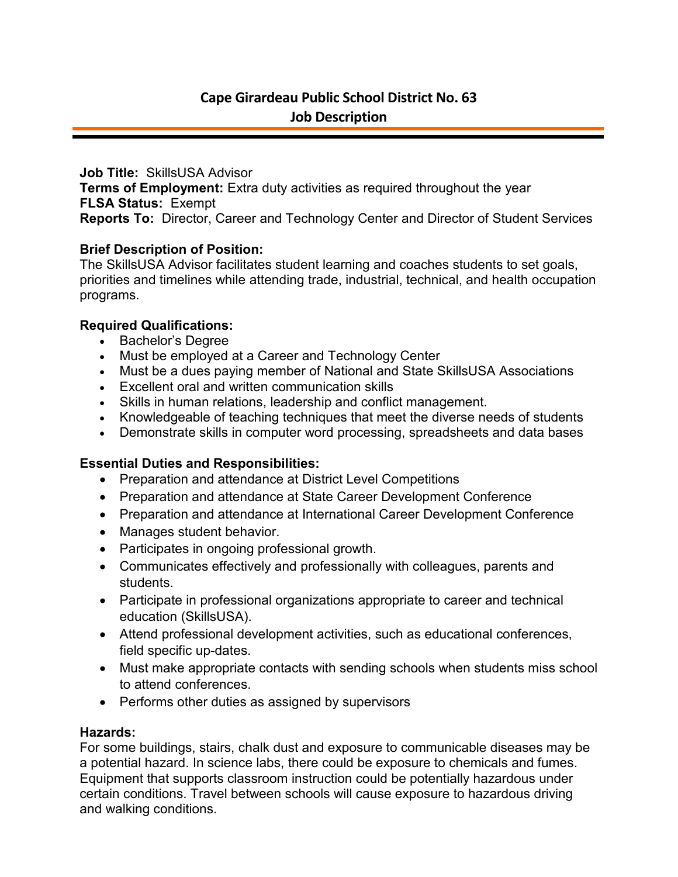**Job Title:** SkillsUSA Advisor **Terms of Employment:** Extra duty activities as required throughout the year **FLSA Status:** Exempt **Reports To:** Director, Career and Technology Center and Director of Student Services

## **Brief Description of Position:**

The SkillsUSA Advisor facilitates student learning and coaches students to set goals, priorities and timelines while attending trade, industrial, technical, and health occupation programs.

# **Required Qualifications:**

- Bachelor's Degree
- Must be employed at a Career and Technology Center
- Must be a dues paying member of National and State SkillsUSA Associations
- Excellent oral and written communication skills
- Skills in human relations, leadership and conflict management.
- Knowledgeable of teaching techniques that meet the diverse needs of students
- Demonstrate skills in computer word processing, spreadsheets and data bases

#### **Essential Duties and Responsibilities:**

- Preparation and attendance at District Level Competitions
- Preparation and attendance at State Career Development Conference
- Preparation and attendance at International Career Development Conference
- Manages student behavior.
- Participates in ongoing professional growth.
- Communicates effectively and professionally with colleagues, parents and students.
- Participate in professional organizations appropriate to career and technical education (SkillsUSA).
- Attend professional development activities, such as educational conferences, field specific up-dates.
- Must make appropriate contacts with sending schools when students miss school to attend conferences.
- Performs other duties as assigned by supervisors

#### **Hazards:**

For some buildings, stairs, chalk dust and exposure to communicable diseases may be a potential hazard. In science labs, there could be exposure to chemicals and fumes. Equipment that supports classroom instruction could be potentially hazardous under certain conditions. Travel between schools will cause exposure to hazardous driving and walking conditions.